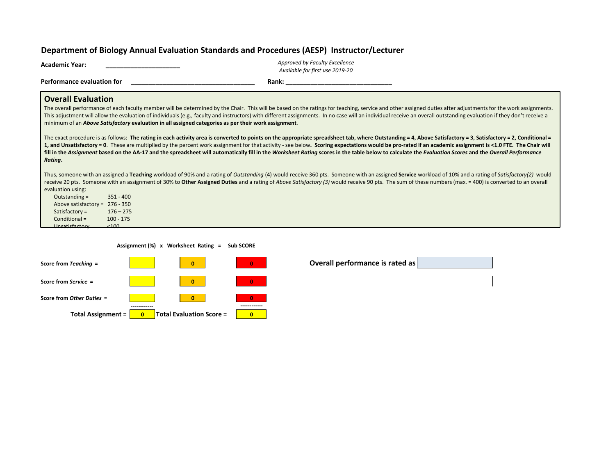## **Department of Biology Annual Evaluation Standards and Procedures (AESP) Instructor/Lecturer**

| Academic Year:             |                                                                                                      | Approved by Faculty Excellence<br>Available for first use 2019-20 |                                                                                                                                                                                                                                                                                                                                                                                                                                                                                                                                                                                                                                        |
|----------------------------|------------------------------------------------------------------------------------------------------|-------------------------------------------------------------------|----------------------------------------------------------------------------------------------------------------------------------------------------------------------------------------------------------------------------------------------------------------------------------------------------------------------------------------------------------------------------------------------------------------------------------------------------------------------------------------------------------------------------------------------------------------------------------------------------------------------------------------|
| Performance evaluation for |                                                                                                      | Rank:                                                             |                                                                                                                                                                                                                                                                                                                                                                                                                                                                                                                                                                                                                                        |
| <b>Overall Evaluation</b>  |                                                                                                      |                                                                   | The overall performance of each faculty member will be determined by the Chair. This will be based on the ratings for teaching, service and other assigned duties after adjustments for the work assignments.<br>This adjustment will allow the evaluation of individuals (e.g., faculty and instructors) with different assignments. In no case will an individual receive an overall outstanding evaluation if they don't receive a                                                                                                                                                                                                  |
|                            | minimum of an Above Satisfactory evaluation in all assigned categories as per their work assignment. |                                                                   |                                                                                                                                                                                                                                                                                                                                                                                                                                                                                                                                                                                                                                        |
| Rating.                    |                                                                                                      |                                                                   | The exact procedure is as follows: The rating in each activity area is converted to points on the appropriate spreadsheet tab, where Outstanding = 4, Above Satisfactory = 3, Satisfactory = 2, Conditional =<br>1, and Unsatisfactory = 0. These are multiplied by the percent work assignment for that activity - see below. Scoring expectations would be pro-rated if an academic assignment is <1.0 FTE. The Chair will<br>fill in the Assignment based on the AA-17 and the spreadsheet will automatically fill in the Worksheet Rating scores in the table below to calculate the Evaluation Scores and the Overall Performance |
| evaluation using:          |                                                                                                      |                                                                   | Thus, someone with an assigned a Teaching workload of 90% and a rating of <i>Outstanding</i> (4) would receive 360 pts. Someone with an assigned Service workload of 10% and a rating of Satisfactory(2) would<br>receive 20 pts. Someone with an assignment of 30% to Other Assigned Duties and a rating of Above Satisfactory (3) would receive 90 pts. The sum of these numbers (max. = 400) is converted to an overall                                                                                                                                                                                                             |
| Outstanding $=$            | $351 - 400$                                                                                          |                                                                   |                                                                                                                                                                                                                                                                                                                                                                                                                                                                                                                                                                                                                                        |
| Above satisfactory $=$     | $276 - 350$                                                                                          |                                                                   |                                                                                                                                                                                                                                                                                                                                                                                                                                                                                                                                                                                                                                        |
| Satisfactory $=$           | $176 - 275$                                                                                          |                                                                   |                                                                                                                                                                                                                                                                                                                                                                                                                                                                                                                                                                                                                                        |
| Conditional =              | $100 - 175$                                                                                          |                                                                   |                                                                                                                                                                                                                                                                                                                                                                                                                                                                                                                                                                                                                                        |
| Unsatisfactory             | 2100                                                                                                 |                                                                   |                                                                                                                                                                                                                                                                                                                                                                                                                                                                                                                                                                                                                                        |

 **Assignment (%) x Worksheet Rating = Sub SCORE**

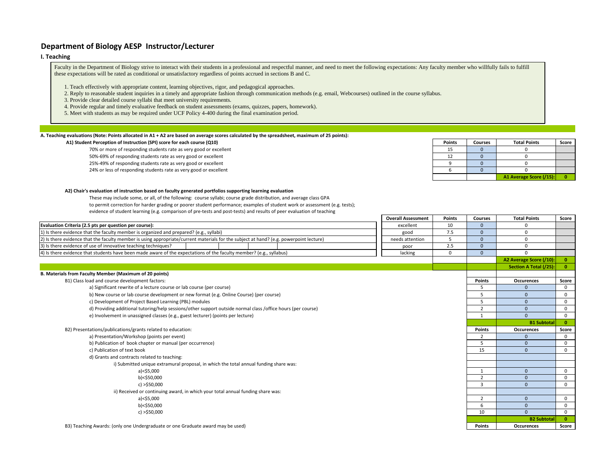### **Department of Biology AESP Instructor/Lecturer**

#### **I. Teaching**

Faculty in the Department of Biology strive to interact with their students in a professional and respectful manner, and need to meet the following expectations: Any faculty member who willfully fails to fulfill these expectations will be rated as conditional or unsatisfactory regardless of points accrued in sections B and C.

- 1. Teach effectively with appropriate content, learning objectives, rigor, and pedagogical approaches.
- 2. Reply to reasonable student inquiries in a timely and appropriate fashion through communication methods (e.g. email, Webcourses) outlined in the course syllabus.
- 3. Provide clear detailed course syllabi that meet university requirements.
- 4. Provide regular and timely evaluative feedback on student assessments (exams, quizzes, papers, homework).
- 5. Meet with students as may be required under UCF Policy 4-400 during the final examination period.

#### **A. Teaching evaluations (Note: Points allocated in A1 + A2 are based on average scores calculated by the spreadsheet, maximum of 25 points):**

#### **A1) Student Perception of Instruction (SPI) score for each course (Q10)**

- 70% or more of responding students rate as very good or excellent
- 50%-69% of responding students rate as very good or excellent
- 25%-49% of responding students rate as very good or excellent
- 24% or less of responding students rate as very good or excellent

| <b>Points</b> | <b>Courses</b> | <b>Total Points</b>     | Score |
|---------------|----------------|-------------------------|-------|
| 15            |                |                         |       |
| 12            |                |                         |       |
|               |                |                         |       |
|               |                |                         |       |
|               |                | A1 Average Score (/15): |       |

#### **A2) Chair's evaluation of instruction based on faculty generated portfolios supporting learning evaluation**

- These may include some, or all, of the following: course syllabi; course grade distribution, and average class GPA to permit correction for harder grading or poorer student performance; examples of student work or assessment (e.g. tests);
- evidence of student learning (e.g. comparison of pre-tests and post-tests) and results of peer evaluation of teaching

|                                                                                                                                         | <b>Overall Assessment</b> | <b>Points</b> | <b>Courses</b>       | <b>Total Points</b>     | Score                   |
|-----------------------------------------------------------------------------------------------------------------------------------------|---------------------------|---------------|----------------------|-------------------------|-------------------------|
| Evaluation Criteria (2.5 pts per question per course):                                                                                  | excellent                 | 10            |                      |                         |                         |
| 1) Is there evidence that the faculty member is organized and prepared? (e.g., syllabi)                                                 | good                      | 7.5           | $\Omega$             | $\Omega$                |                         |
| [2] Is there evidence that the faculty member is using appropriate/current materials for the subject at hand? (e.g. powerpoint lecture) | needs attention           | 5             | $\Omega$             | $\mathbf 0$             |                         |
| 3) Is there evidence of use of innovative teaching techniques?                                                                          | poor                      | 2.5           | $\Omega$             | $\Omega$                |                         |
| [4] Is there evidence that students have been made aware of the expectations of the faculty member? (e.g., syllabus)                    | lacking                   | 0             | $\Omega$<br>$\Omega$ |                         |                         |
|                                                                                                                                         |                           |               |                      | A2 Average Score (/10): | $\bullet$               |
|                                                                                                                                         |                           |               |                      | Section A Total (/25):  | $\bullet$               |
| B. Materials from Faculty Member (Maximum of 20 points)                                                                                 |                           |               |                      |                         |                         |
| B1) Class load and course development factors:                                                                                          |                           |               | <b>Points</b>        | Occurences              | Score                   |
| a) Significant rewrite of a lecture course or lab course (per course)                                                                   |                           |               |                      |                         | $\mathbf 0$             |
| b) New course or lab course development or new format (e.g. Online Course) (per course)                                                 |                           |               | 5                    | $\Omega$                | $\mathbf{0}$            |
| c) Development of Project Based Learning (PBL) modules                                                                                  |                           |               | 5                    | $\mathbf{0}$            | 0                       |
| d) Providing additional tutoring/help sessions/other support outside normal class /office hours (per course)                            |                           |               | $\overline{2}$       | $\mathbf{0}$            | $\mathbf{0}$            |
| e) Involvement in unassigned classes (e.g., guest lecturer) (points per lecture)                                                        |                           | $\mathbf{1}$  | $\Omega$             | $\mathbf{0}$            |                         |
|                                                                                                                                         |                           |               |                      | <b>B1 Subtotal</b>      | $\overline{\mathbf{0}}$ |
| B2) Presentations/publications/grants related to education:                                                                             |                           |               | <b>Points</b>        | Occurences              | Score                   |
| a) Presentation/Workshop (points per event)                                                                                             |                           |               | $\overline{2}$       | $\Omega$                | $\mathbf 0$             |
| b) Publication of book chapter or manual (per occurrence)                                                                               |                           |               | -5                   | $\Omega$                | $\mathbf 0$             |
| c) Publication of text book                                                                                                             |                           |               | 15                   | $\Omega$                | $\mathbf{0}$            |
| d) Grants and contracts related to teaching:                                                                                            |                           |               |                      |                         |                         |
| i) Submitted unique extramural proposal, in which the total annual funding share was:                                                   |                           |               |                      |                         |                         |
| $a$ )<\$5,000                                                                                                                           |                           |               | $\overline{1}$       | $\mathbf{0}$            | $\mathbf{0}$            |
| b)<\$50,000                                                                                                                             |                           |               | $\overline{2}$       | $\Omega$                | 0                       |
| c) > \$50,000                                                                                                                           |                           |               | -3                   | $\Omega$                | $\mathbf 0$             |
| ii) Received or continuing award, in which your total annual funding share was:                                                         |                           |               |                      |                         |                         |
| a)<\$5,000                                                                                                                              |                           |               | $\overline{2}$       | $\mathbf{0}$            | 0                       |
| b)<\$50,000                                                                                                                             |                           |               | 6                    | $\Omega$                | $\mathbf{0}$            |
| c) > \$50,000                                                                                                                           |                           |               | 10                   | $\Omega$                | $\mathbf{0}$            |
|                                                                                                                                         |                           |               |                      | <b>B2 Subtotal</b>      | $\bullet$               |
| B3) Teaching Awards: (only one Undergraduate or one Graduate award may be used)                                                         |                           |               | <b>Points</b>        | <b>Occurences</b>       | Score                   |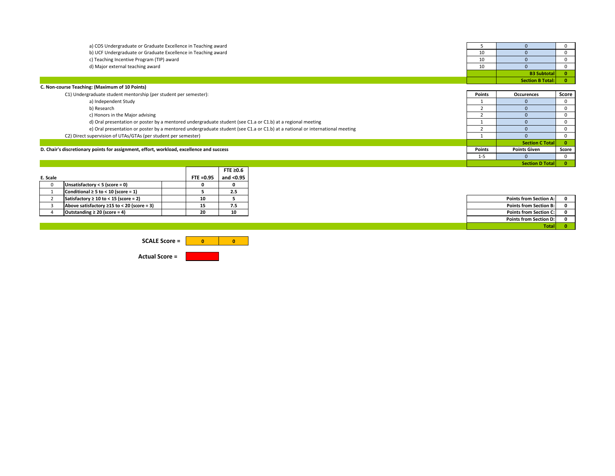| a) COS Undergraduate or Graduate Excellence in Teaching award                                                                |         |                         |              |
|------------------------------------------------------------------------------------------------------------------------------|---------|-------------------------|--------------|
| b) UCF Undergraduate or Graduate Excellence in Teaching award                                                                | 10      |                         |              |
| c) Teaching Incentive Program (TIP) award                                                                                    | 10      |                         |              |
| d) Major external teaching award                                                                                             | 10      |                         |              |
|                                                                                                                              |         | <b>B3 Subtotal</b>      | $\mathbf{0}$ |
|                                                                                                                              |         | <b>Section B Total:</b> |              |
| C. Non-course Teaching: (Maximum of 10 Points)                                                                               |         |                         |              |
| C1) Undergraduate student mentorship (per student per semester):                                                             | Points  | <b>Occurences</b>       | Score        |
| a) Independent Study                                                                                                         |         |                         | n            |
| b) Research                                                                                                                  |         |                         | n            |
| c) Honors in the Major advising                                                                                              |         |                         |              |
| d) Oral presentation or poster by a mentored undergraduate student (see C1.a or C1.b) at a regional meeting                  |         |                         |              |
| e) Oral presentation or poster by a mentored undergraduate student (see C1.a or C1.b) at a national or international meeting |         |                         |              |
| C2) Direct supervision of UTAs/GTAs (per student per semester)                                                               |         |                         |              |
|                                                                                                                              |         | <b>Section C Total</b>  | $\mathbf{0}$ |
| D. Chair's discretionary points for assignment, effort, workload, excellence and success                                     |         | <b>Points Given</b>     | Score        |
|                                                                                                                              | $1 - 5$ |                         |              |

|          |                                                  |           | FTE $\geq 0.6$ |
|----------|--------------------------------------------------|-----------|----------------|
| E. Scale |                                                  | FTE =0.95 | and $<$ 0.95   |
|          | Unsatisfactory $<$ 5 (score = 0)                 |           |                |
|          | Conditional $\geq 5$ to < 10 (score = 1)         |           | 2.5            |
|          | Satisfactory $\geq 10$ to < 15 (score = 2)       |           |                |
|          | Above satisfactory $\geq$ 15 to < 20 (score = 3) |           | 7.5            |
|          | Outstanding $\geq 20$ (score = 4)                | 20        | 10             |

| Points from Section A:        |   |
|-------------------------------|---|
| <b>Points from Section B:</b> | n |
| <b>Points from Section C:</b> |   |
| Points from Section D:        |   |
| Total                         |   |

**0 Section D Total**

**0 0 SCALE Score =** 

**Actual Score =**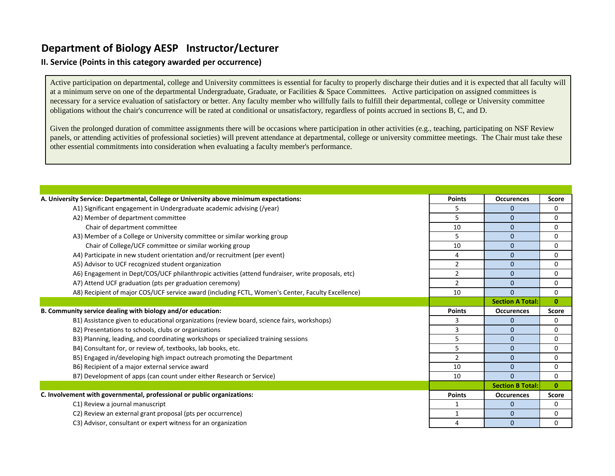# **Department of Biology AESP Instructor/Lecturer**

## **II. Service (Points in this category awarded per occurrence)**

Active participation on departmental, college and University committees is essential for faculty to properly discharge their duties and it is expected that all faculty will at a minimum serve on one of the departmental Undergraduate, Graduate, or Facilities & Space Committees. Active participation on assigned committees is necessary for a service evaluation of satisfactory or better. Any faculty member who willfully fails to fulfill their departmental, college or University committee obligations without the chair's concurrence will be rated at conditional or unsatisfactory, regardless of points accrued in sections B, C, and D.

Given the prolonged duration of committee assignments there will be occasions where participation in other activities (e.g., teaching, participating on NSF Review panels, or attending activities of professional societies) will prevent attendance at departmental, college or university committee meetings. The Chair must take these other essential commitments into consideration when evaluating a faculty member's performance.

| A. University Service: Departmental, College or University above minimum expectations:            | <b>Points</b>  | <b>Occurences</b>       | Score        |
|---------------------------------------------------------------------------------------------------|----------------|-------------------------|--------------|
| A1) Significant engagement in Undergraduate academic advising (/year)                             | 5              | $\mathbf{0}$            | 0            |
| A2) Member of department committee                                                                | 5              | $\mathbf{0}$            | 0            |
| Chair of department committee                                                                     | 10             | $\mathbf{0}$            | 0            |
|                                                                                                   |                |                         |              |
| A3) Member of a College or University committee or similar working group                          | 5              | $\mathbf{0}$            | 0            |
| Chair of College/UCF committee or similar working group                                           | 10             | $\mathbf{0}$            | 0            |
| A4) Participate in new student orientation and/or recruitment (per event)                         | 4              | $\mathbf{0}$            | 0            |
| A5) Advisor to UCF recognized student organization                                                | $\overline{2}$ | $\mathbf{0}$            | 0            |
| A6) Engagement in Dept/COS/UCF philanthropic activities (attend fundraiser, write proposals, etc) | $\overline{2}$ | $\mathbf{0}$            | 0            |
| A7) Attend UCF graduation (pts per graduation ceremony)                                           | $\overline{2}$ | $\mathbf{0}$            | 0            |
| A8) Recipient of major COS/UCF service award (including FCTL, Women's Center, Faculty Excellence) | 10             | $\Omega$                | 0            |
|                                                                                                   |                | <b>Section A Total:</b> | $\mathbf{0}$ |
| B. Community service dealing with biology and/or education:                                       | <b>Points</b>  | <b>Occurences</b>       | Score        |
| B1) Assistance given to educational organizations (review board, science fairs, workshops)        | 3              | $\mathbf{0}$            | 0            |
| B2) Presentations to schools, clubs or organizations                                              | 3              | $\mathbf{0}$            | 0            |
| B3) Planning, leading, and coordinating workshops or specialized training sessions                | 5              | $\mathbf{0}$            | 0            |
| B4) Consultant for, or review of, textbooks, lab books, etc.                                      | 5              | $\mathbf{0}$            | 0            |
| B5) Engaged in/developing high impact outreach promoting the Department                           | $\overline{2}$ | $\mathbf{0}$            | 0            |
| B6) Recipient of a major external service award                                                   | 10             | $\mathbf{0}$            | 0            |
| B7) Development of apps (can count under either Research or Service)                              | 10             | $\Omega$                | 0            |
|                                                                                                   |                | <b>Section B Total:</b> | $\mathbf{0}$ |
| C. Involvement with governmental, professional or public organizations:                           | <b>Points</b>  | <b>Occurences</b>       | Score        |
| C1) Review a journal manuscript                                                                   |                | $\mathbf{0}$            | 0            |
| C2) Review an external grant proposal (pts per occurrence)                                        | 1              | $\mathbf{0}$            | 0            |
|                                                                                                   |                |                         |              |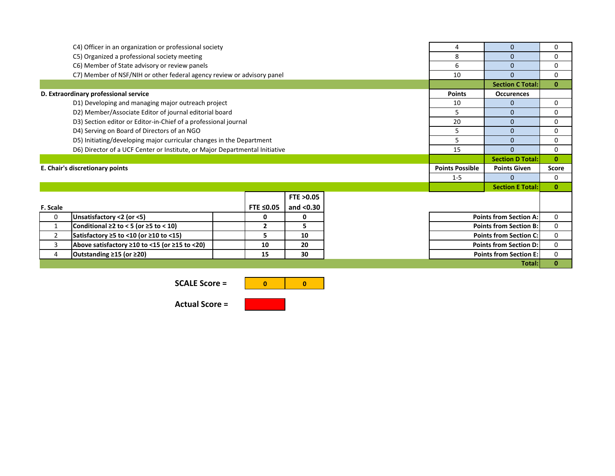|                | C4) Officer in an organization or professional society                      |   |                |                     |  |                               | $\mathbf{0}$                  | 0            |  |
|----------------|-----------------------------------------------------------------------------|---|----------------|---------------------|--|-------------------------------|-------------------------------|--------------|--|
|                | C5) Organized a professional society meeting                                | 8 | $\mathbf{0}$   | $\Omega$            |  |                               |                               |              |  |
|                | C6) Member of State advisory or review panels                               |   |                |                     |  | 6                             | $\mathbf{0}$                  | 0            |  |
|                | C7) Member of NSF/NIH or other federal agency review or advisory panel      |   |                |                     |  | 10                            | $\Omega$                      | 0            |  |
|                |                                                                             |   |                |                     |  |                               | <b>Section C Total:</b>       | $\bf{0}$     |  |
|                | D. Extraordinary professional service                                       |   |                |                     |  | <b>Points</b>                 | <b>Occurences</b>             |              |  |
|                | D1) Developing and managing major outreach project                          |   |                |                     |  | 10                            | $\mathbf{0}$                  | 0            |  |
|                | D2) Member/Associate Editor of journal editorial board                      |   |                |                     |  | 5                             | $\mathbf{0}$                  | 0            |  |
|                | D3) Section editor or Editor-in-Chief of a professional journal             |   |                |                     |  | 20                            | $\mathbf{0}$                  | 0            |  |
|                | D4) Serving on Board of Directors of an NGO                                 |   |                |                     |  | 5                             | $\mathbf{0}$                  | 0            |  |
|                | D5) Initiating/developing major curricular changes in the Department        |   |                |                     |  | 5                             | $\mathbf{0}$                  | 0            |  |
|                | D6) Director of a UCF Center or Institute, or Major Departmental Initiative |   |                |                     |  | 15                            | $\Omega$                      | 0            |  |
|                |                                                                             |   |                |                     |  |                               | <b>Section D Total:</b>       | $\bf{0}$     |  |
|                | E. Chair's discretionary points                                             |   |                |                     |  | <b>Points Possible</b>        | <b>Points Given</b>           | <b>Score</b> |  |
|                |                                                                             |   |                |                     |  | $1 - 5$                       | $\Omega$                      | 0            |  |
|                |                                                                             |   |                |                     |  |                               | <b>Section E Total:</b>       | $\mathbf{0}$ |  |
|                |                                                                             |   |                | <b>FTE &gt;0.05</b> |  |                               |                               |              |  |
| F. Scale       |                                                                             |   | FTE ≤0.05      | and $<$ 0.30        |  |                               |                               |              |  |
| 0              | Unsatisfactory <2 (or <5)                                                   |   | 0              | 0                   |  | <b>Points from Section A:</b> | 0                             |              |  |
| 1              | Conditional $\geq 2$ to < 5 (or $\geq 5$ to < 10)                           |   | $\overline{2}$ | 5                   |  | <b>Points from Section B:</b> | 0                             |              |  |
| $\overline{2}$ | Satisfactory $\geq$ 5 to <10 (or $\geq$ 10 to <15)                          |   | 5              | 10                  |  | <b>Points from Section C:</b> | 0                             |              |  |
| 3              | Above satisfactory $\geq$ 10 to <15 (or $\geq$ 15 to <20)                   |   | 10             | 20                  |  | <b>Points from Section D:</b> |                               |              |  |
| 4              | Outstanding ≥15 (or ≥20)                                                    |   | 15             | 30                  |  |                               | <b>Points from Section E:</b> | 0            |  |
| Total:         |                                                                             |   |                |                     |  |                               |                               |              |  |

**SCALE Score =** 



**Actual Score =**